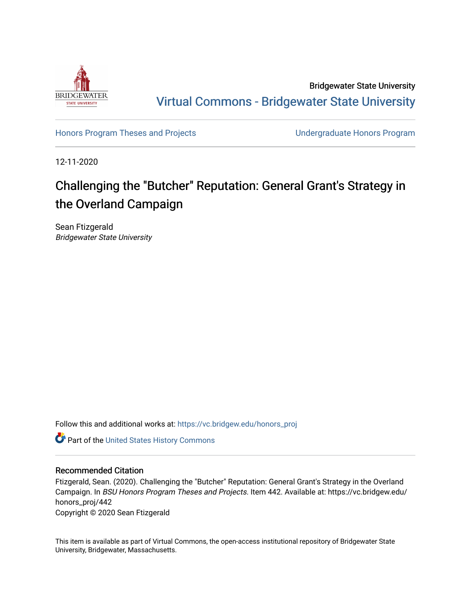

Bridgewater State University [Virtual Commons - Bridgewater State University](https://vc.bridgew.edu/) 

[Honors Program Theses and Projects](https://vc.bridgew.edu/honors_proj) [Undergraduate Honors Program](https://vc.bridgew.edu/honors) 

12-11-2020

## Challenging the "Butcher" Reputation: General Grant's Strategy in the Overland Campaign

Sean Ftizgerald Bridgewater State University

Follow this and additional works at: [https://vc.bridgew.edu/honors\\_proj](https://vc.bridgew.edu/honors_proj?utm_source=vc.bridgew.edu%2Fhonors_proj%2F442&utm_medium=PDF&utm_campaign=PDFCoverPages)

Part of the [United States History Commons](http://network.bepress.com/hgg/discipline/495?utm_source=vc.bridgew.edu%2Fhonors_proj%2F442&utm_medium=PDF&utm_campaign=PDFCoverPages) 

## Recommended Citation

Ftizgerald, Sean. (2020). Challenging the "Butcher" Reputation: General Grant's Strategy in the Overland Campaign. In BSU Honors Program Theses and Projects. Item 442. Available at: https://vc.bridgew.edu/ honors\_proj/442

Copyright © 2020 Sean Ftizgerald

This item is available as part of Virtual Commons, the open-access institutional repository of Bridgewater State University, Bridgewater, Massachusetts.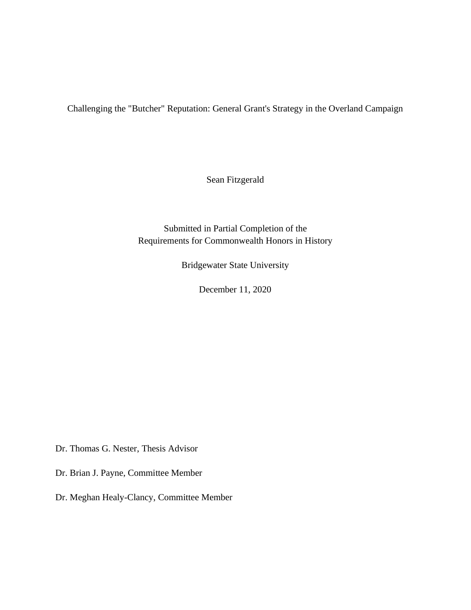Challenging the "Butcher" Reputation: General Grant's Strategy in the Overland Campaign

Sean Fitzgerald

Submitted in Partial Completion of the Requirements for Commonwealth Honors in History

Bridgewater State University

December 11, 2020

Dr. Thomas G. Nester, Thesis Advisor

Dr. Brian J. Payne, Committee Member

Dr. Meghan Healy-Clancy, Committee Member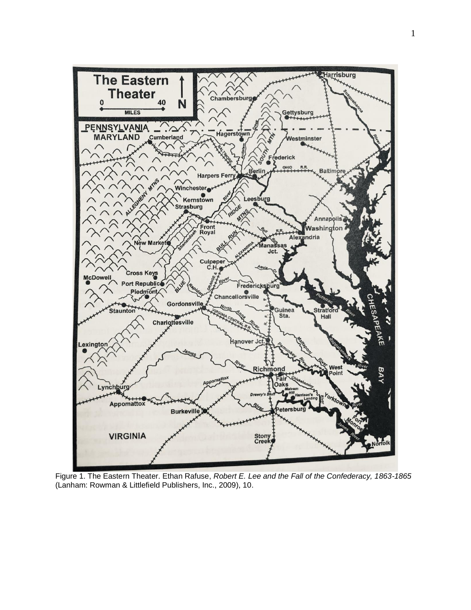

Figure 1. The Eastern Theater. Ethan Rafuse, *Robert E. Lee and the Fall of the Confederacy, 1863-1865* (Lanham: Rowman & Littlefield Publishers, Inc., 2009), 10.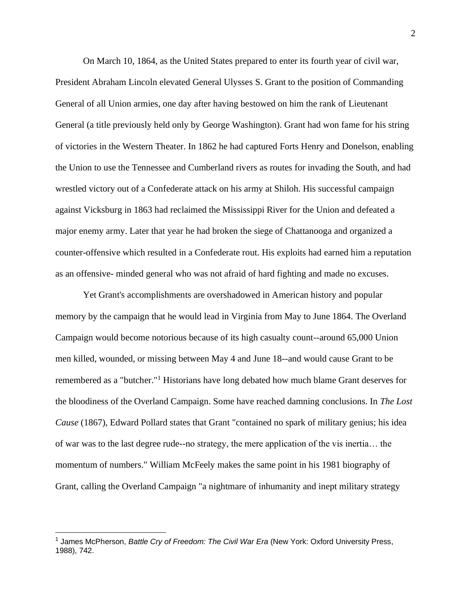On March 10, 1864, as the United States prepared to enter its fourth year of civil war, President Abraham Lincoln elevated General Ulysses S. Grant to the position of Commanding General of all Union armies, one day after having bestowed on him the rank of Lieutenant General (a title previously held only by George Washington). Grant had won fame for his string of victories in the Western Theater. In 1862 he had captured Forts Henry and Donelson, enabling the Union to use the Tennessee and Cumberland rivers as routes for invading the South, and had wrestled victory out of a Confederate attack on his army at Shiloh. His successful campaign against Vicksburg in 1863 had reclaimed the Mississippi River for the Union and defeated a major enemy army. Later that year he had broken the siege of Chattanooga and organized a counter-offensive which resulted in a Confederate rout. His exploits had earned him a reputation as an offensive- minded general who was not afraid of hard fighting and made no excuses.

Yet Grant's accomplishments are overshadowed in American history and popular memory by the campaign that he would lead in Virginia from May to June 1864. The Overland Campaign would become notorious because of its high casualty count--around 65,000 Union men killed, wounded, or missing between May 4 and June 18--and would cause Grant to be remembered as a "butcher."<sup>1</sup> Historians have long debated how much blame Grant deserves for the bloodiness of the Overland Campaign. Some have reached damning conclusions. In *The Lost Cause* (1867), Edward Pollard states that Grant "contained no spark of military genius; his idea of war was to the last degree rude--no strategy, the mere application of the vis inertia… the momentum of numbers." William McFeely makes the same point in his 1981 biography of Grant, calling the Overland Campaign "a nightmare of inhumanity and inept military strategy

<sup>&</sup>lt;sup>1</sup> James McPherson, *Battle Cry of Freedom: The Civil War Era* (New York: Oxford University Press, 1988), 742.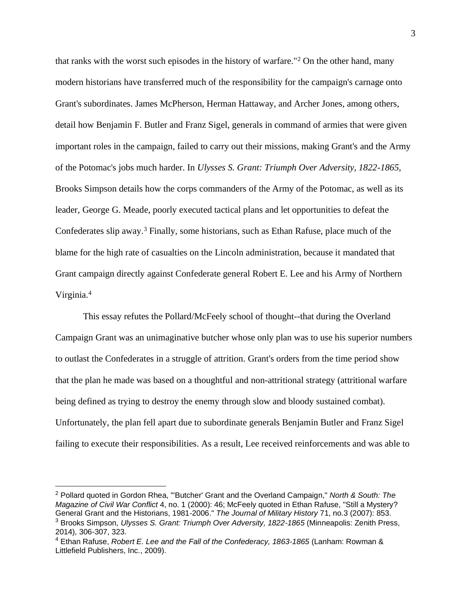that ranks with the worst such episodes in the history of warfare."<sup>2</sup> On the other hand, many modern historians have transferred much of the responsibility for the campaign's carnage onto Grant's subordinates. James McPherson, Herman Hattaway, and Archer Jones, among others, detail how Benjamin F. Butler and Franz Sigel, generals in command of armies that were given important roles in the campaign, failed to carry out their missions, making Grant's and the Army of the Potomac's jobs much harder. In *Ulysses S. Grant: Triumph Over Adversity, 1822-1865,*  Brooks Simpson details how the corps commanders of the Army of the Potomac, as well as its leader, George G. Meade, poorly executed tactical plans and let opportunities to defeat the Confederates slip away.<sup>3</sup> Finally, some historians, such as Ethan Rafuse, place much of the blame for the high rate of casualties on the Lincoln administration, because it mandated that Grant campaign directly against Confederate general Robert E. Lee and his Army of Northern Virginia.<sup>4</sup>

This essay refutes the Pollard/McFeely school of thought--that during the Overland Campaign Grant was an unimaginative butcher whose only plan was to use his superior numbers to outlast the Confederates in a struggle of attrition. Grant's orders from the time period show that the plan he made was based on a thoughtful and non-attritional strategy (attritional warfare being defined as trying to destroy the enemy through slow and bloody sustained combat). Unfortunately, the plan fell apart due to subordinate generals Benjamin Butler and Franz Sigel failing to execute their responsibilities. As a result, Lee received reinforcements and was able to

<sup>2</sup> Pollard quoted in Gordon Rhea, "'Butcher' Grant and the Overland Campaign," *North & South: The Magazine of Civil War Conflict* 4, no. 1 (2000): 46; McFeely quoted in Ethan Rafuse, "Still a Mystery? General Grant and the Historians, 1981-2006." *The Journal of Military History* 71, no.3 (2007): 853. <sup>3</sup> Brooks Simpson, *Ulysses S. Grant: Triumph Over Adversity, 1822-1865* (Minneapolis: Zenith Press, 2014), 306-307, 323.

<sup>4</sup> Ethan Rafuse, *Robert E. Lee and the Fall of the Confederacy, 1863-1865* (Lanham: Rowman & Littlefield Publishers, Inc., 2009).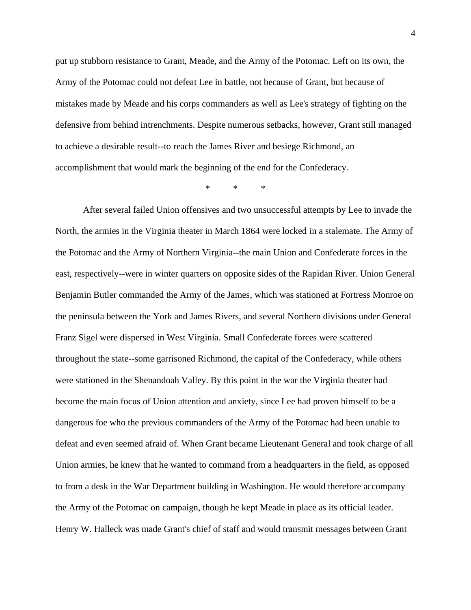put up stubborn resistance to Grant, Meade, and the Army of the Potomac. Left on its own, the Army of the Potomac could not defeat Lee in battle, not because of Grant, but because of mistakes made by Meade and his corps commanders as well as Lee's strategy of fighting on the defensive from behind intrenchments. Despite numerous setbacks, however, Grant still managed to achieve a desirable result--to reach the James River and besiege Richmond, an accomplishment that would mark the beginning of the end for the Confederacy.

\* \* \*

After several failed Union offensives and two unsuccessful attempts by Lee to invade the North, the armies in the Virginia theater in March 1864 were locked in a stalemate. The Army of the Potomac and the Army of Northern Virginia--the main Union and Confederate forces in the east, respectively--were in winter quarters on opposite sides of the Rapidan River. Union General Benjamin Butler commanded the Army of the James, which was stationed at Fortress Monroe on the peninsula between the York and James Rivers, and several Northern divisions under General Franz Sigel were dispersed in West Virginia. Small Confederate forces were scattered throughout the state--some garrisoned Richmond, the capital of the Confederacy, while others were stationed in the Shenandoah Valley. By this point in the war the Virginia theater had become the main focus of Union attention and anxiety, since Lee had proven himself to be a dangerous foe who the previous commanders of the Army of the Potomac had been unable to defeat and even seemed afraid of. When Grant became Lieutenant General and took charge of all Union armies, he knew that he wanted to command from a headquarters in the field, as opposed to from a desk in the War Department building in Washington. He would therefore accompany the Army of the Potomac on campaign, though he kept Meade in place as its official leader. Henry W. Halleck was made Grant's chief of staff and would transmit messages between Grant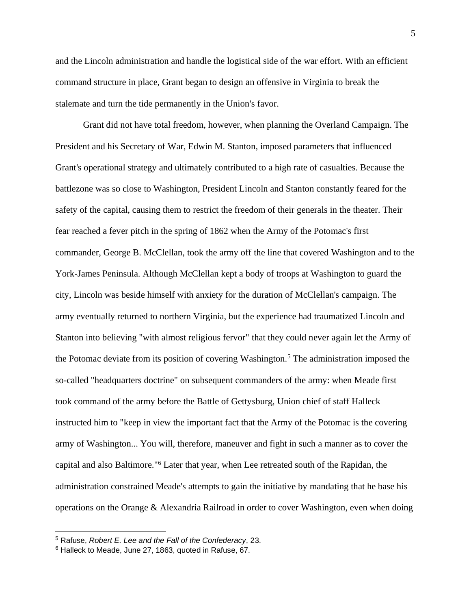and the Lincoln administration and handle the logistical side of the war effort. With an efficient command structure in place, Grant began to design an offensive in Virginia to break the stalemate and turn the tide permanently in the Union's favor.

Grant did not have total freedom, however, when planning the Overland Campaign. The President and his Secretary of War, Edwin M. Stanton, imposed parameters that influenced Grant's operational strategy and ultimately contributed to a high rate of casualties. Because the battlezone was so close to Washington, President Lincoln and Stanton constantly feared for the safety of the capital, causing them to restrict the freedom of their generals in the theater. Their fear reached a fever pitch in the spring of 1862 when the Army of the Potomac's first commander, George B. McClellan, took the army off the line that covered Washington and to the York-James Peninsula. Although McClellan kept a body of troops at Washington to guard the city, Lincoln was beside himself with anxiety for the duration of McClellan's campaign. The army eventually returned to northern Virginia, but the experience had traumatized Lincoln and Stanton into believing "with almost religious fervor" that they could never again let the Army of the Potomac deviate from its position of covering Washington.<sup>5</sup> The administration imposed the so-called "headquarters doctrine" on subsequent commanders of the army: when Meade first took command of the army before the Battle of Gettysburg, Union chief of staff Halleck instructed him to "keep in view the important fact that the Army of the Potomac is the covering army of Washington... You will, therefore, maneuver and fight in such a manner as to cover the capital and also Baltimore."<sup>6</sup> Later that year, when Lee retreated south of the Rapidan, the administration constrained Meade's attempts to gain the initiative by mandating that he base his operations on the Orange & Alexandria Railroad in order to cover Washington, even when doing

<sup>5</sup> Rafuse, *Robert E. Lee and the Fall of the Confederacy*, 23.

<sup>6</sup> Halleck to Meade, June 27, 1863, quoted in Rafuse, 67.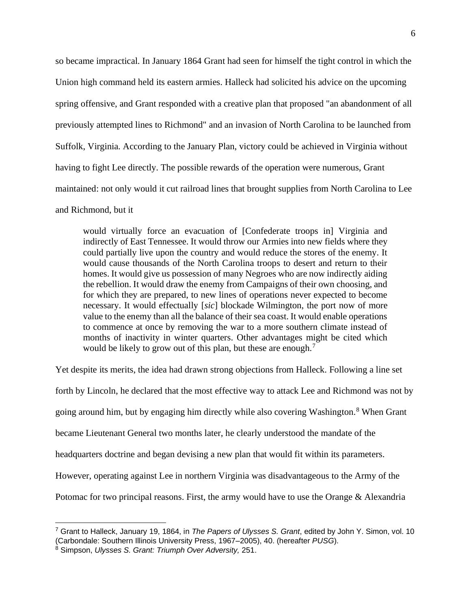so became impractical. In January 1864 Grant had seen for himself the tight control in which the Union high command held its eastern armies. Halleck had solicited his advice on the upcoming spring offensive, and Grant responded with a creative plan that proposed "an abandonment of all previously attempted lines to Richmond" and an invasion of North Carolina to be launched from Suffolk, Virginia. According to the January Plan, victory could be achieved in Virginia without having to fight Lee directly. The possible rewards of the operation were numerous, Grant maintained: not only would it cut railroad lines that brought supplies from North Carolina to Lee and Richmond, but it

would virtually force an evacuation of [Confederate troops in] Virginia and indirectly of East Tennessee. It would throw our Armies into new fields where they could partially live upon the country and would reduce the stores of the enemy. It would cause thousands of the North Carolina troops to desert and return to their homes. It would give us possession of many Negroes who are now indirectly aiding the rebellion. It would draw the enemy from Campaigns of their own choosing, and for which they are prepared, to new lines of operations never expected to become necessary. It would effectually [*sic*] blockade Wilmington, the port now of more value to the enemy than all the balance of their sea coast. It would enable operations to commence at once by removing the war to a more southern climate instead of months of inactivity in winter quarters. Other advantages might be cited which would be likely to grow out of this plan, but these are enough.<sup>7</sup>

Yet despite its merits, the idea had drawn strong objections from Halleck. Following a line set forth by Lincoln, he declared that the most effective way to attack Lee and Richmond was not by going around him, but by engaging him directly while also covering Washington.<sup>8</sup> When Grant became Lieutenant General two months later, he clearly understood the mandate of the

headquarters doctrine and began devising a new plan that would fit within its parameters.

However, operating against Lee in northern Virginia was disadvantageous to the Army of the

Potomac for two principal reasons. First, the army would have to use the Orange & Alexandria

<sup>7</sup> Grant to Halleck, January 19, 1864, in *The Papers of Ulysses S. Grant*, edited by John Y. Simon, vol. 10 (Carbondale: Southern Illinois University Press, 1967–2005), 40. (hereafter *PUSG*).

<sup>8</sup> Simpson, *Ulysses S. Grant: Triumph Over Adversity,* 251.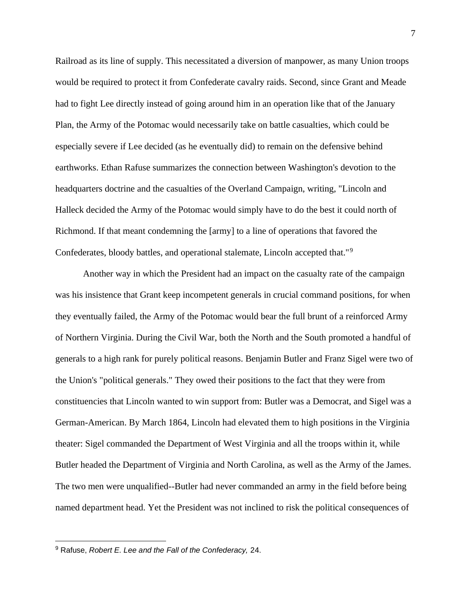Railroad as its line of supply. This necessitated a diversion of manpower, as many Union troops would be required to protect it from Confederate cavalry raids. Second, since Grant and Meade had to fight Lee directly instead of going around him in an operation like that of the January Plan, the Army of the Potomac would necessarily take on battle casualties, which could be especially severe if Lee decided (as he eventually did) to remain on the defensive behind earthworks. Ethan Rafuse summarizes the connection between Washington's devotion to the headquarters doctrine and the casualties of the Overland Campaign, writing, "Lincoln and Halleck decided the Army of the Potomac would simply have to do the best it could north of Richmond. If that meant condemning the [army] to a line of operations that favored the Confederates, bloody battles, and operational stalemate, Lincoln accepted that."<sup>9</sup>

Another way in which the President had an impact on the casualty rate of the campaign was his insistence that Grant keep incompetent generals in crucial command positions, for when they eventually failed, the Army of the Potomac would bear the full brunt of a reinforced Army of Northern Virginia. During the Civil War, both the North and the South promoted a handful of generals to a high rank for purely political reasons. Benjamin Butler and Franz Sigel were two of the Union's "political generals." They owed their positions to the fact that they were from constituencies that Lincoln wanted to win support from: Butler was a Democrat, and Sigel was a German-American. By March 1864, Lincoln had elevated them to high positions in the Virginia theater: Sigel commanded the Department of West Virginia and all the troops within it, while Butler headed the Department of Virginia and North Carolina, as well as the Army of the James. The two men were unqualified--Butler had never commanded an army in the field before being named department head. Yet the President was not inclined to risk the political consequences of

<sup>9</sup> Rafuse, *Robert E. Lee and the Fall of the Confederacy,* 24.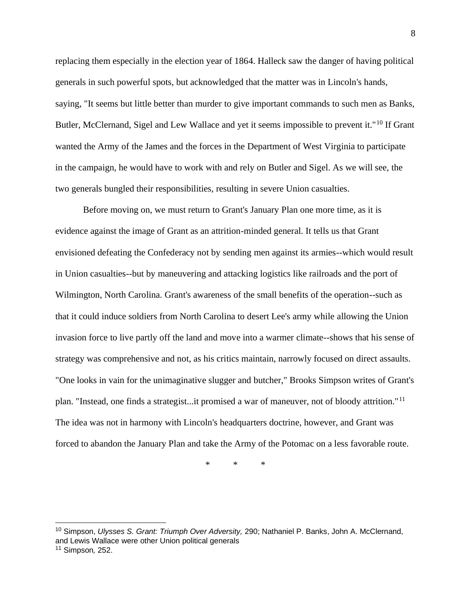replacing them especially in the election year of 1864. Halleck saw the danger of having political generals in such powerful spots, but acknowledged that the matter was in Lincoln's hands, saying, "It seems but little better than murder to give important commands to such men as Banks, Butler, McClernand, Sigel and Lew Wallace and yet it seems impossible to prevent it."<sup>10</sup> If Grant wanted the Army of the James and the forces in the Department of West Virginia to participate in the campaign, he would have to work with and rely on Butler and Sigel. As we will see, the two generals bungled their responsibilities, resulting in severe Union casualties.

Before moving on, we must return to Grant's January Plan one more time, as it is evidence against the image of Grant as an attrition-minded general. It tells us that Grant envisioned defeating the Confederacy not by sending men against its armies--which would result in Union casualties--but by maneuvering and attacking logistics like railroads and the port of Wilmington, North Carolina. Grant's awareness of the small benefits of the operation--such as that it could induce soldiers from North Carolina to desert Lee's army while allowing the Union invasion force to live partly off the land and move into a warmer climate--shows that his sense of strategy was comprehensive and not, as his critics maintain, narrowly focused on direct assaults. "One looks in vain for the unimaginative slugger and butcher," Brooks Simpson writes of Grant's plan. "Instead, one finds a strategist...it promised a war of maneuver, not of bloody attrition."<sup>11</sup> The idea was not in harmony with Lincoln's headquarters doctrine, however, and Grant was forced to abandon the January Plan and take the Army of the Potomac on a less favorable route.

\* \* \*

<sup>10</sup> Simpson, *Ulysses S. Grant: Triumph Over Adversity,* 290; Nathaniel P. Banks, John A. McClernand, and Lewis Wallace were other Union political generals

<sup>11</sup> Simpson*,* 252.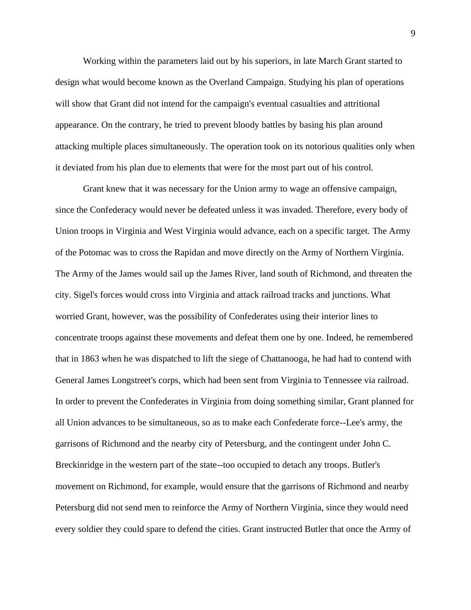Working within the parameters laid out by his superiors, in late March Grant started to design what would become known as the Overland Campaign. Studying his plan of operations will show that Grant did not intend for the campaign's eventual casualties and attritional appearance. On the contrary, he tried to prevent bloody battles by basing his plan around attacking multiple places simultaneously. The operation took on its notorious qualities only when it deviated from his plan due to elements that were for the most part out of his control.

Grant knew that it was necessary for the Union army to wage an offensive campaign, since the Confederacy would never be defeated unless it was invaded. Therefore, every body of Union troops in Virginia and West Virginia would advance, each on a specific target. The Army of the Potomac was to cross the Rapidan and move directly on the Army of Northern Virginia. The Army of the James would sail up the James River, land south of Richmond, and threaten the city. Sigel's forces would cross into Virginia and attack railroad tracks and junctions. What worried Grant, however, was the possibility of Confederates using their interior lines to concentrate troops against these movements and defeat them one by one. Indeed, he remembered that in 1863 when he was dispatched to lift the siege of Chattanooga, he had had to contend with General James Longstreet's corps, which had been sent from Virginia to Tennessee via railroad. In order to prevent the Confederates in Virginia from doing something similar, Grant planned for all Union advances to be simultaneous, so as to make each Confederate force--Lee's army, the garrisons of Richmond and the nearby city of Petersburg, and the contingent under John C. Breckinridge in the western part of the state--too occupied to detach any troops. Butler's movement on Richmond, for example, would ensure that the garrisons of Richmond and nearby Petersburg did not send men to reinforce the Army of Northern Virginia, since they would need every soldier they could spare to defend the cities. Grant instructed Butler that once the Army of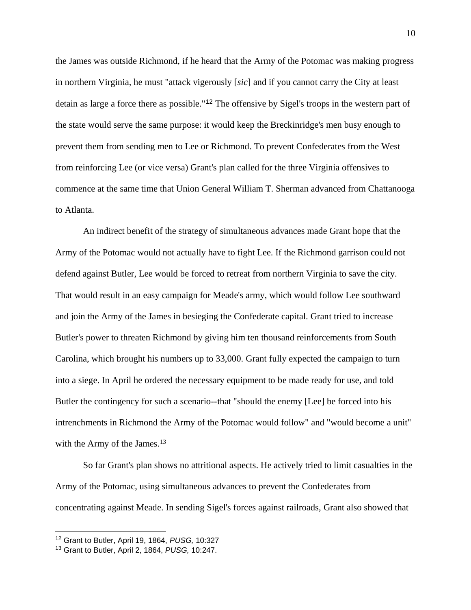the James was outside Richmond, if he heard that the Army of the Potomac was making progress in northern Virginia, he must "attack vigerously [*sic*] and if you cannot carry the City at least detain as large a force there as possible."<sup>12</sup> The offensive by Sigel's troops in the western part of the state would serve the same purpose: it would keep the Breckinridge's men busy enough to prevent them from sending men to Lee or Richmond. To prevent Confederates from the West from reinforcing Lee (or vice versa) Grant's plan called for the three Virginia offensives to commence at the same time that Union General William T. Sherman advanced from Chattanooga to Atlanta.

An indirect benefit of the strategy of simultaneous advances made Grant hope that the Army of the Potomac would not actually have to fight Lee. If the Richmond garrison could not defend against Butler, Lee would be forced to retreat from northern Virginia to save the city. That would result in an easy campaign for Meade's army, which would follow Lee southward and join the Army of the James in besieging the Confederate capital. Grant tried to increase Butler's power to threaten Richmond by giving him ten thousand reinforcements from South Carolina, which brought his numbers up to 33,000. Grant fully expected the campaign to turn into a siege. In April he ordered the necessary equipment to be made ready for use, and told Butler the contingency for such a scenario--that "should the enemy [Lee] be forced into his intrenchments in Richmond the Army of the Potomac would follow" and "would become a unit" with the Army of the James.<sup>13</sup>

So far Grant's plan shows no attritional aspects. He actively tried to limit casualties in the Army of the Potomac, using simultaneous advances to prevent the Confederates from concentrating against Meade. In sending Sigel's forces against railroads, Grant also showed that

<sup>12</sup> Grant to Butler, April 19, 1864, *PUSG,* 10:327

<sup>13</sup> Grant to Butler, April 2, 1864, *PUSG,* 10:247.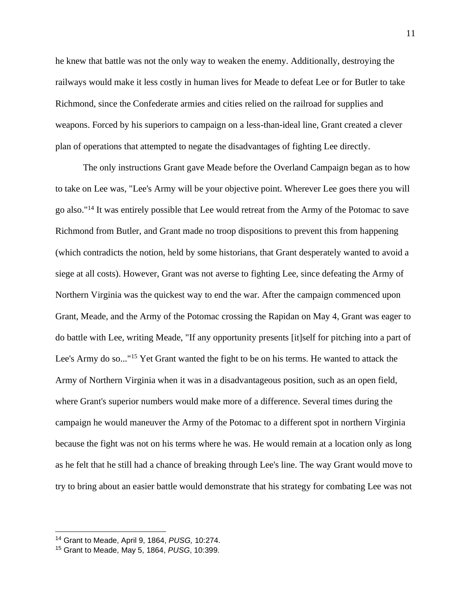he knew that battle was not the only way to weaken the enemy. Additionally, destroying the railways would make it less costly in human lives for Meade to defeat Lee or for Butler to take Richmond, since the Confederate armies and cities relied on the railroad for supplies and weapons. Forced by his superiors to campaign on a less-than-ideal line, Grant created a clever plan of operations that attempted to negate the disadvantages of fighting Lee directly.

The only instructions Grant gave Meade before the Overland Campaign began as to how to take on Lee was, "Lee's Army will be your objective point. Wherever Lee goes there you will go also."<sup>14</sup> It was entirely possible that Lee would retreat from the Army of the Potomac to save Richmond from Butler, and Grant made no troop dispositions to prevent this from happening (which contradicts the notion, held by some historians, that Grant desperately wanted to avoid a siege at all costs). However, Grant was not averse to fighting Lee, since defeating the Army of Northern Virginia was the quickest way to end the war. After the campaign commenced upon Grant, Meade, and the Army of the Potomac crossing the Rapidan on May 4, Grant was eager to do battle with Lee, writing Meade, "If any opportunity presents [it]self for pitching into a part of Lee's Army do so..."<sup>15</sup> Yet Grant wanted the fight to be on his terms. He wanted to attack the Army of Northern Virginia when it was in a disadvantageous position, such as an open field, where Grant's superior numbers would make more of a difference. Several times during the campaign he would maneuver the Army of the Potomac to a different spot in northern Virginia because the fight was not on his terms where he was. He would remain at a location only as long as he felt that he still had a chance of breaking through Lee's line. The way Grant would move to try to bring about an easier battle would demonstrate that his strategy for combating Lee was not

<sup>14</sup> Grant to Meade, April 9, 1864, *PUSG,* 10:274.

<sup>15</sup> Grant to Meade, May 5, 1864, *PUSG*, 10:399.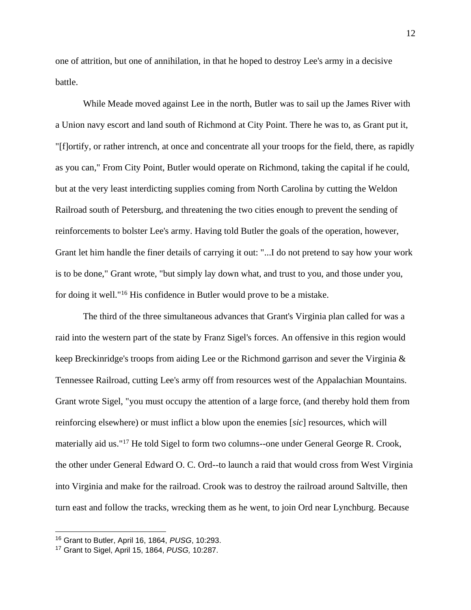one of attrition, but one of annihilation, in that he hoped to destroy Lee's army in a decisive battle.

While Meade moved against Lee in the north, Butler was to sail up the James River with a Union navy escort and land south of Richmond at City Point. There he was to, as Grant put it, "[f]ortify, or rather intrench, at once and concentrate all your troops for the field, there, as rapidly as you can," From City Point, Butler would operate on Richmond, taking the capital if he could, but at the very least interdicting supplies coming from North Carolina by cutting the Weldon Railroad south of Petersburg, and threatening the two cities enough to prevent the sending of reinforcements to bolster Lee's army. Having told Butler the goals of the operation, however, Grant let him handle the finer details of carrying it out: "...I do not pretend to say how your work is to be done," Grant wrote, "but simply lay down what, and trust to you, and those under you, for doing it well."<sup>16</sup> His confidence in Butler would prove to be a mistake.

The third of the three simultaneous advances that Grant's Virginia plan called for was a raid into the western part of the state by Franz Sigel's forces. An offensive in this region would keep Breckinridge's troops from aiding Lee or the Richmond garrison and sever the Virginia & Tennessee Railroad, cutting Lee's army off from resources west of the Appalachian Mountains. Grant wrote Sigel, "you must occupy the attention of a large force, (and thereby hold them from reinforcing elsewhere) or must inflict a blow upon the enemies [*sic*] resources, which will materially aid us."<sup>17</sup> He told Sigel to form two columns--one under General George R. Crook, the other under General Edward O. C. Ord--to launch a raid that would cross from West Virginia into Virginia and make for the railroad. Crook was to destroy the railroad around Saltville, then turn east and follow the tracks, wrecking them as he went, to join Ord near Lynchburg. Because

<sup>16</sup> Grant to Butler, April 16, 1864, *PUSG*, 10:293.

<sup>17</sup> Grant to Sigel, April 15, 1864, *PUSG,* 10:287.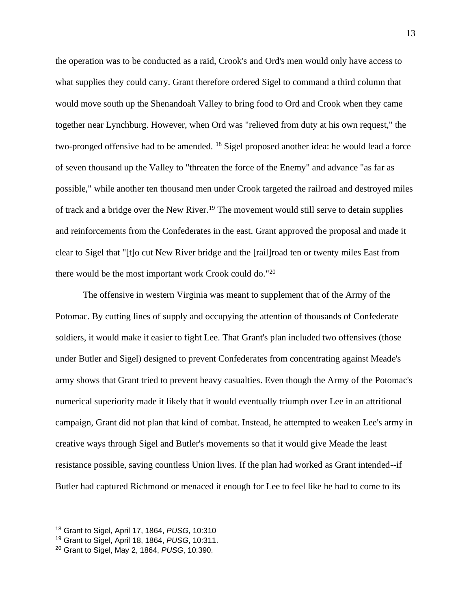the operation was to be conducted as a raid, Crook's and Ord's men would only have access to what supplies they could carry. Grant therefore ordered Sigel to command a third column that would move south up the Shenandoah Valley to bring food to Ord and Crook when they came together near Lynchburg. However, when Ord was "relieved from duty at his own request," the two-pronged offensive had to be amended. <sup>18</sup> Sigel proposed another idea: he would lead a force of seven thousand up the Valley to "threaten the force of the Enemy" and advance "as far as possible," while another ten thousand men under Crook targeted the railroad and destroyed miles of track and a bridge over the New River.<sup>19</sup> The movement would still serve to detain supplies and reinforcements from the Confederates in the east. Grant approved the proposal and made it clear to Sigel that "[t]o cut New River bridge and the [rail]road ten or twenty miles East from there would be the most important work Crook could do."<sup>20</sup>

The offensive in western Virginia was meant to supplement that of the Army of the Potomac. By cutting lines of supply and occupying the attention of thousands of Confederate soldiers, it would make it easier to fight Lee. That Grant's plan included two offensives (those under Butler and Sigel) designed to prevent Confederates from concentrating against Meade's army shows that Grant tried to prevent heavy casualties. Even though the Army of the Potomac's numerical superiority made it likely that it would eventually triumph over Lee in an attritional campaign, Grant did not plan that kind of combat. Instead, he attempted to weaken Lee's army in creative ways through Sigel and Butler's movements so that it would give Meade the least resistance possible, saving countless Union lives. If the plan had worked as Grant intended--if Butler had captured Richmond or menaced it enough for Lee to feel like he had to come to its

<sup>18</sup> Grant to Sigel, April 17, 1864, *PUSG*, 10:310

<sup>19</sup> Grant to Sigel, April 18, 1864, *PUSG*, 10:311.

<sup>20</sup> Grant to Sigel, May 2, 1864, *PUSG*, 10:390.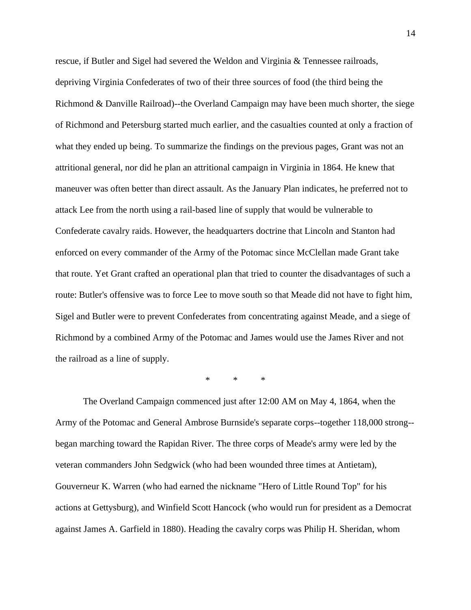rescue, if Butler and Sigel had severed the Weldon and Virginia & Tennessee railroads, depriving Virginia Confederates of two of their three sources of food (the third being the Richmond & Danville Railroad)--the Overland Campaign may have been much shorter, the siege of Richmond and Petersburg started much earlier, and the casualties counted at only a fraction of what they ended up being. To summarize the findings on the previous pages, Grant was not an attritional general, nor did he plan an attritional campaign in Virginia in 1864. He knew that maneuver was often better than direct assault. As the January Plan indicates, he preferred not to attack Lee from the north using a rail-based line of supply that would be vulnerable to Confederate cavalry raids. However, the headquarters doctrine that Lincoln and Stanton had enforced on every commander of the Army of the Potomac since McClellan made Grant take that route. Yet Grant crafted an operational plan that tried to counter the disadvantages of such a route: Butler's offensive was to force Lee to move south so that Meade did not have to fight him, Sigel and Butler were to prevent Confederates from concentrating against Meade, and a siege of Richmond by a combined Army of the Potomac and James would use the James River and not the railroad as a line of supply.

\* \* \*

The Overland Campaign commenced just after 12:00 AM on May 4, 1864, when the Army of the Potomac and General Ambrose Burnside's separate corps--together 118,000 strong- began marching toward the Rapidan River. The three corps of Meade's army were led by the veteran commanders John Sedgwick (who had been wounded three times at Antietam), Gouverneur K. Warren (who had earned the nickname "Hero of Little Round Top" for his actions at Gettysburg), and Winfield Scott Hancock (who would run for president as a Democrat against James A. Garfield in 1880). Heading the cavalry corps was Philip H. Sheridan, whom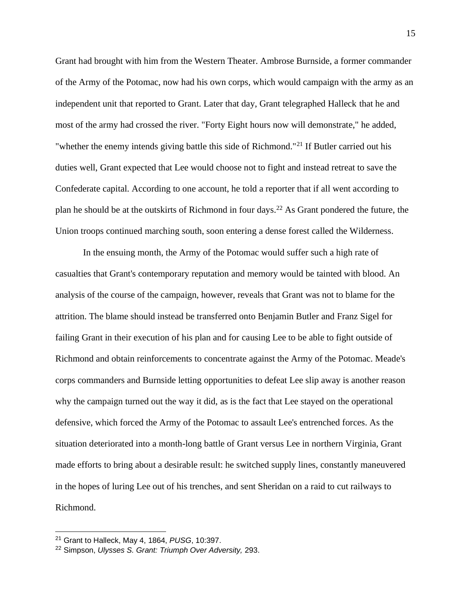Grant had brought with him from the Western Theater. Ambrose Burnside, a former commander of the Army of the Potomac, now had his own corps, which would campaign with the army as an independent unit that reported to Grant. Later that day, Grant telegraphed Halleck that he and most of the army had crossed the river. "Forty Eight hours now will demonstrate," he added, "whether the enemy intends giving battle this side of Richmond."<sup>21</sup> If Butler carried out his duties well, Grant expected that Lee would choose not to fight and instead retreat to save the Confederate capital. According to one account, he told a reporter that if all went according to plan he should be at the outskirts of Richmond in four days.<sup>22</sup> As Grant pondered the future, the Union troops continued marching south, soon entering a dense forest called the Wilderness.

In the ensuing month, the Army of the Potomac would suffer such a high rate of casualties that Grant's contemporary reputation and memory would be tainted with blood. An analysis of the course of the campaign, however, reveals that Grant was not to blame for the attrition. The blame should instead be transferred onto Benjamin Butler and Franz Sigel for failing Grant in their execution of his plan and for causing Lee to be able to fight outside of Richmond and obtain reinforcements to concentrate against the Army of the Potomac. Meade's corps commanders and Burnside letting opportunities to defeat Lee slip away is another reason why the campaign turned out the way it did, as is the fact that Lee stayed on the operational defensive, which forced the Army of the Potomac to assault Lee's entrenched forces. As the situation deteriorated into a month-long battle of Grant versus Lee in northern Virginia, Grant made efforts to bring about a desirable result: he switched supply lines, constantly maneuvered in the hopes of luring Lee out of his trenches, and sent Sheridan on a raid to cut railways to Richmond.

<sup>21</sup> Grant to Halleck, May 4, 1864, *PUSG*, 10:397.

<sup>22</sup> Simpson, *Ulysses S. Grant: Triumph Over Adversity,* 293.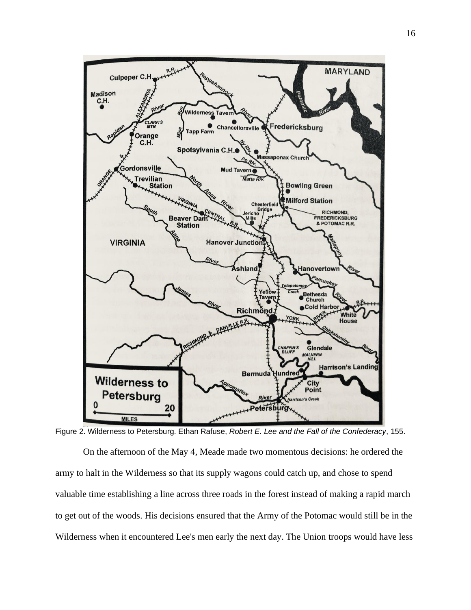

Figure 2. Wilderness to Petersburg. Ethan Rafuse, *Robert E. Lee and the Fall of the Confederacy*, 155.

On the afternoon of the May 4, Meade made two momentous decisions: he ordered the army to halt in the Wilderness so that its supply wagons could catch up, and chose to spend valuable time establishing a line across three roads in the forest instead of making a rapid march to get out of the woods. His decisions ensured that the Army of the Potomac would still be in the Wilderness when it encountered Lee's men early the next day. The Union troops would have less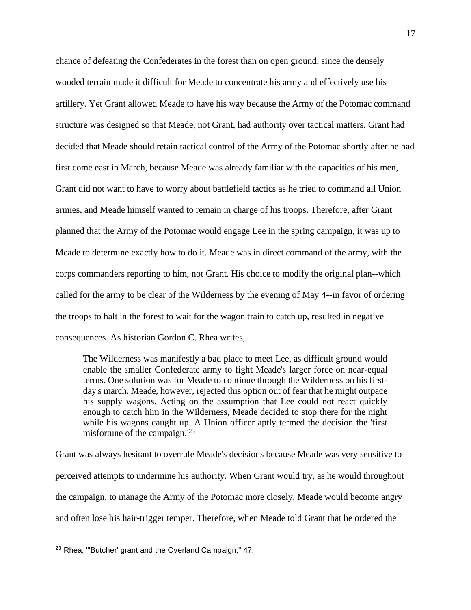chance of defeating the Confederates in the forest than on open ground, since the densely wooded terrain made it difficult for Meade to concentrate his army and effectively use his artillery. Yet Grant allowed Meade to have his way because the Army of the Potomac command structure was designed so that Meade, not Grant, had authority over tactical matters. Grant had decided that Meade should retain tactical control of the Army of the Potomac shortly after he had first come east in March, because Meade was already familiar with the capacities of his men, Grant did not want to have to worry about battlefield tactics as he tried to command all Union armies, and Meade himself wanted to remain in charge of his troops. Therefore, after Grant planned that the Army of the Potomac would engage Lee in the spring campaign, it was up to Meade to determine exactly how to do it. Meade was in direct command of the army, with the corps commanders reporting to him, not Grant. His choice to modify the original plan--which called for the army to be clear of the Wilderness by the evening of May 4--in favor of ordering the troops to halt in the forest to wait for the wagon train to catch up, resulted in negative consequences. As historian Gordon C. Rhea writes,

The Wilderness was manifestly a bad place to meet Lee, as difficult ground would enable the smaller Confederate army to fight Meade's larger force on near-equal terms. One solution was for Meade to continue through the Wilderness on his firstday's march. Meade, however, rejected this option out of fear that he might outpace his supply wagons. Acting on the assumption that Lee could not react quickly enough to catch him in the Wilderness, Meade decided to stop there for the night while his wagons caught up. A Union officer aptly termed the decision the 'first misfortune of the campaign.'<sup>23</sup>

Grant was always hesitant to overrule Meade's decisions because Meade was very sensitive to perceived attempts to undermine his authority. When Grant would try, as he would throughout the campaign, to manage the Army of the Potomac more closely, Meade would become angry and often lose his hair-trigger temper. Therefore, when Meade told Grant that he ordered the

<sup>&</sup>lt;sup>23</sup> Rhea, "'Butcher' grant and the Overland Campaign," 47.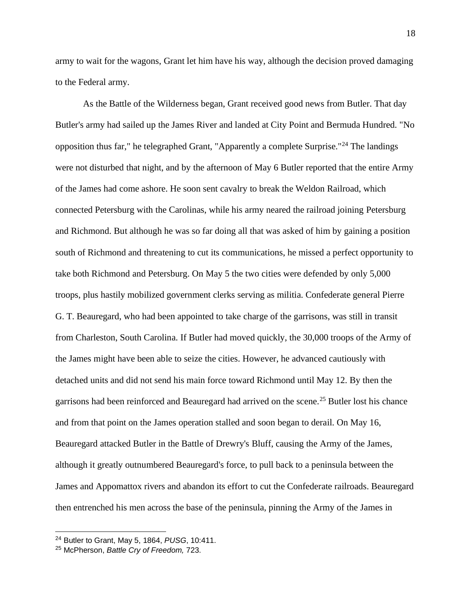army to wait for the wagons, Grant let him have his way, although the decision proved damaging to the Federal army.

As the Battle of the Wilderness began, Grant received good news from Butler. That day Butler's army had sailed up the James River and landed at City Point and Bermuda Hundred. "No opposition thus far," he telegraphed Grant, "Apparently a complete Surprise."<sup>24</sup> The landings were not disturbed that night, and by the afternoon of May 6 Butler reported that the entire Army of the James had come ashore. He soon sent cavalry to break the Weldon Railroad, which connected Petersburg with the Carolinas, while his army neared the railroad joining Petersburg and Richmond. But although he was so far doing all that was asked of him by gaining a position south of Richmond and threatening to cut its communications, he missed a perfect opportunity to take both Richmond and Petersburg. On May 5 the two cities were defended by only 5,000 troops, plus hastily mobilized government clerks serving as militia. Confederate general Pierre G. T. Beauregard, who had been appointed to take charge of the garrisons, was still in transit from Charleston, South Carolina. If Butler had moved quickly, the 30,000 troops of the Army of the James might have been able to seize the cities. However, he advanced cautiously with detached units and did not send his main force toward Richmond until May 12. By then the garrisons had been reinforced and Beauregard had arrived on the scene.<sup>25</sup> Butler lost his chance and from that point on the James operation stalled and soon began to derail. On May 16, Beauregard attacked Butler in the Battle of Drewry's Bluff, causing the Army of the James, although it greatly outnumbered Beauregard's force, to pull back to a peninsula between the James and Appomattox rivers and abandon its effort to cut the Confederate railroads. Beauregard then entrenched his men across the base of the peninsula, pinning the Army of the James in

<sup>24</sup> Butler to Grant, May 5, 1864, *PUSG*, 10:411.

<sup>25</sup> McPherson, *Battle Cry of Freedom,* 723.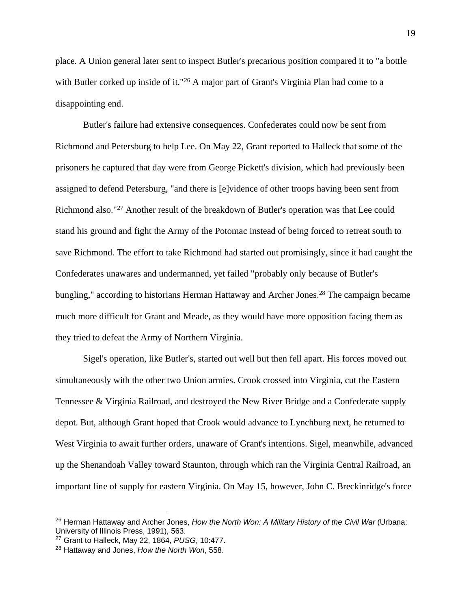place. A Union general later sent to inspect Butler's precarious position compared it to "a bottle with Butler corked up inside of it."<sup>26</sup> A major part of Grant's Virginia Plan had come to a disappointing end.

Butler's failure had extensive consequences. Confederates could now be sent from Richmond and Petersburg to help Lee. On May 22, Grant reported to Halleck that some of the prisoners he captured that day were from George Pickett's division, which had previously been assigned to defend Petersburg, "and there is [e]vidence of other troops having been sent from Richmond also."<sup>27</sup> Another result of the breakdown of Butler's operation was that Lee could stand his ground and fight the Army of the Potomac instead of being forced to retreat south to save Richmond. The effort to take Richmond had started out promisingly, since it had caught the Confederates unawares and undermanned, yet failed "probably only because of Butler's bungling," according to historians Herman Hattaway and Archer Jones.<sup>28</sup> The campaign became much more difficult for Grant and Meade, as they would have more opposition facing them as they tried to defeat the Army of Northern Virginia.

Sigel's operation, like Butler's, started out well but then fell apart. His forces moved out simultaneously with the other two Union armies. Crook crossed into Virginia, cut the Eastern Tennessee & Virginia Railroad, and destroyed the New River Bridge and a Confederate supply depot. But, although Grant hoped that Crook would advance to Lynchburg next, he returned to West Virginia to await further orders, unaware of Grant's intentions. Sigel, meanwhile, advanced up the Shenandoah Valley toward Staunton, through which ran the Virginia Central Railroad, an important line of supply for eastern Virginia. On May 15, however, John C. Breckinridge's force

<sup>26</sup> Herman Hattaway and Archer Jones, *How the North Won: A Military History of the Civil War* (Urbana: University of Illinois Press, 1991), 563.

<sup>27</sup> Grant to Halleck, May 22, 1864, *PUSG*, 10:477.

<sup>28</sup> Hattaway and Jones, *How the North Won*, 558.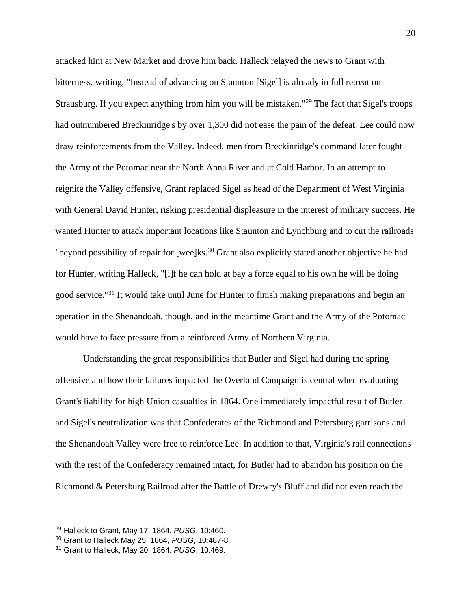attacked him at New Market and drove him back. Halleck relayed the news to Grant with bitterness, writing, "Instead of advancing on Staunton [Sigel] is already in full retreat on Strausburg. If you expect anything from him you will be mistaken."<sup>29</sup> The fact that Sigel's troops had outnumbered Breckinridge's by over 1,300 did not ease the pain of the defeat. Lee could now draw reinforcements from the Valley. Indeed, men from Breckinridge's command later fought the Army of the Potomac near the North Anna River and at Cold Harbor. In an attempt to reignite the Valley offensive, Grant replaced Sigel as head of the Department of West Virginia with General David Hunter, risking presidential displeasure in the interest of military success. He wanted Hunter to attack important locations like Staunton and Lynchburg and to cut the railroads "beyond possibility of repair for [wee]ks. $30$  Grant also explicitly stated another objective he had for Hunter, writing Halleck, "[i]f he can hold at bay a force equal to his own he will be doing good service."<sup>31</sup> It would take until June for Hunter to finish making preparations and begin an operation in the Shenandoah, though, and in the meantime Grant and the Army of the Potomac would have to face pressure from a reinforced Army of Northern Virginia.

Understanding the great responsibilities that Butler and Sigel had during the spring offensive and how their failures impacted the Overland Campaign is central when evaluating Grant's liability for high Union casualties in 1864. One immediately impactful result of Butler and Sigel's neutralization was that Confederates of the Richmond and Petersburg garrisons and the Shenandoah Valley were free to reinforce Lee. In addition to that, Virginia's rail connections with the rest of the Confederacy remained intact, for Butler had to abandon his position on the Richmond & Petersburg Railroad after the Battle of Drewry's Bluff and did not even reach the

<sup>29</sup> Halleck to Grant, May 17, 1864, *PUSG*, 10:460.

<sup>30</sup> Grant to Halleck May 25, 1864, *PUSG*, 10:487-8.

<sup>31</sup> Grant to Halleck, May 20, 1864, *PUSG*, 10:469.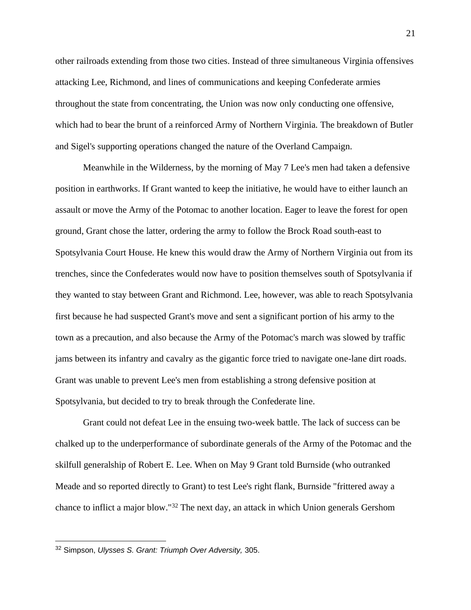other railroads extending from those two cities. Instead of three simultaneous Virginia offensives attacking Lee, Richmond, and lines of communications and keeping Confederate armies throughout the state from concentrating, the Union was now only conducting one offensive, which had to bear the brunt of a reinforced Army of Northern Virginia. The breakdown of Butler and Sigel's supporting operations changed the nature of the Overland Campaign.

Meanwhile in the Wilderness, by the morning of May 7 Lee's men had taken a defensive position in earthworks. If Grant wanted to keep the initiative, he would have to either launch an assault or move the Army of the Potomac to another location. Eager to leave the forest for open ground, Grant chose the latter, ordering the army to follow the Brock Road south-east to Spotsylvania Court House. He knew this would draw the Army of Northern Virginia out from its trenches, since the Confederates would now have to position themselves south of Spotsylvania if they wanted to stay between Grant and Richmond. Lee, however, was able to reach Spotsylvania first because he had suspected Grant's move and sent a significant portion of his army to the town as a precaution, and also because the Army of the Potomac's march was slowed by traffic jams between its infantry and cavalry as the gigantic force tried to navigate one-lane dirt roads. Grant was unable to prevent Lee's men from establishing a strong defensive position at Spotsylvania, but decided to try to break through the Confederate line.

Grant could not defeat Lee in the ensuing two-week battle. The lack of success can be chalked up to the underperformance of subordinate generals of the Army of the Potomac and the skilfull generalship of Robert E. Lee. When on May 9 Grant told Burnside (who outranked Meade and so reported directly to Grant) to test Lee's right flank, Burnside "frittered away a chance to inflict a major blow."<sup>32</sup> The next day, an attack in which Union generals Gershom

<sup>32</sup> Simpson, *Ulysses S. Grant: Triumph Over Adversity,* 305.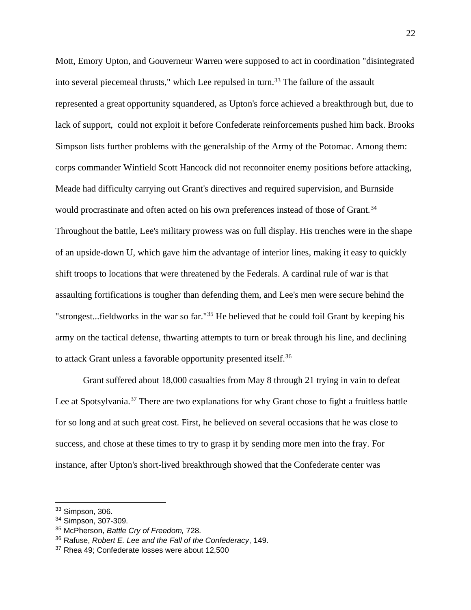Mott, Emory Upton, and Gouverneur Warren were supposed to act in coordination "disintegrated into several piecemeal thrusts," which Lee repulsed in turn.<sup>33</sup> The failure of the assault represented a great opportunity squandered, as Upton's force achieved a breakthrough but, due to lack of support, could not exploit it before Confederate reinforcements pushed him back. Brooks Simpson lists further problems with the generalship of the Army of the Potomac. Among them: corps commander Winfield Scott Hancock did not reconnoiter enemy positions before attacking, Meade had difficulty carrying out Grant's directives and required supervision, and Burnside would procrastinate and often acted on his own preferences instead of those of Grant.<sup>34</sup> Throughout the battle, Lee's military prowess was on full display. His trenches were in the shape of an upside-down U, which gave him the advantage of interior lines, making it easy to quickly shift troops to locations that were threatened by the Federals. A cardinal rule of war is that assaulting fortifications is tougher than defending them, and Lee's men were secure behind the "strongest...fieldworks in the war so far."<sup>35</sup> He believed that he could foil Grant by keeping his army on the tactical defense, thwarting attempts to turn or break through his line, and declining to attack Grant unless a favorable opportunity presented itself.<sup>36</sup>

Grant suffered about 18,000 casualties from May 8 through 21 trying in vain to defeat Lee at Spotsylvania.<sup>37</sup> There are two explanations for why Grant chose to fight a fruitless battle for so long and at such great cost. First, he believed on several occasions that he was close to success, and chose at these times to try to grasp it by sending more men into the fray. For instance, after Upton's short-lived breakthrough showed that the Confederate center was

 $33$  Simpson, 306.

<sup>34</sup> Simpson, 307-309.

<sup>35</sup> McPherson, *Battle Cry of Freedom,* 728.

<sup>36</sup> Rafuse, *Robert E. Lee and the Fall of the Confederacy*, 149.

<sup>&</sup>lt;sup>37</sup> Rhea 49; Confederate losses were about 12,500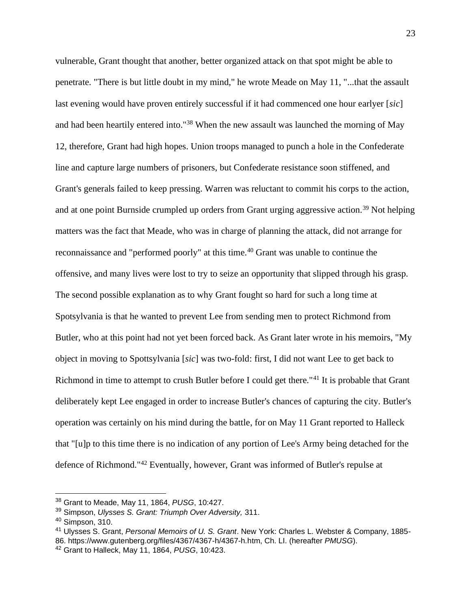vulnerable, Grant thought that another, better organized attack on that spot might be able to penetrate. "There is but little doubt in my mind," he wrote Meade on May 11, "...that the assault last evening would have proven entirely successful if it had commenced one hour earlyer [*sic*] and had been heartily entered into."<sup>38</sup> When the new assault was launched the morning of May 12, therefore, Grant had high hopes. Union troops managed to punch a hole in the Confederate line and capture large numbers of prisoners, but Confederate resistance soon stiffened, and Grant's generals failed to keep pressing. Warren was reluctant to commit his corps to the action, and at one point Burnside crumpled up orders from Grant urging aggressive action.<sup>39</sup> Not helping matters was the fact that Meade, who was in charge of planning the attack, did not arrange for reconnaissance and "performed poorly" at this time.<sup>40</sup> Grant was unable to continue the offensive, and many lives were lost to try to seize an opportunity that slipped through his grasp. The second possible explanation as to why Grant fought so hard for such a long time at Spotsylvania is that he wanted to prevent Lee from sending men to protect Richmond from Butler, who at this point had not yet been forced back. As Grant later wrote in his memoirs, "My object in moving to Spottsylvania [*sic*] was two-fold: first, I did not want Lee to get back to Richmond in time to attempt to crush Butler before I could get there."<sup>41</sup> It is probable that Grant deliberately kept Lee engaged in order to increase Butler's chances of capturing the city. Butler's operation was certainly on his mind during the battle, for on May 11 Grant reported to Halleck that "[u]p to this time there is no indication of any portion of Lee's Army being detached for the defence of Richmond."<sup>42</sup> Eventually, however, Grant was informed of Butler's repulse at

<sup>38</sup> Grant to Meade, May 11, 1864, *PUSG*, 10:427.

<sup>39</sup> Simpson, *Ulysses S. Grant: Triumph Over Adversity,* 311.

<sup>40</sup> Simpson, 310.

<sup>41</sup> Ulysses S. Grant, *Personal Memoirs of U. S. Grant*. New York: Charles L. Webster & Company, 1885- 86. [https://www.gutenberg.org/files/4367/4367-h/4367-h.htm,](https://www.gutenberg.org/files/4367/4367-h/4367-h.htm) Ch. LI. (hereafter *PMUSG*).

<sup>42</sup> Grant to Halleck, May 11, 1864, *PUSG*, 10:423.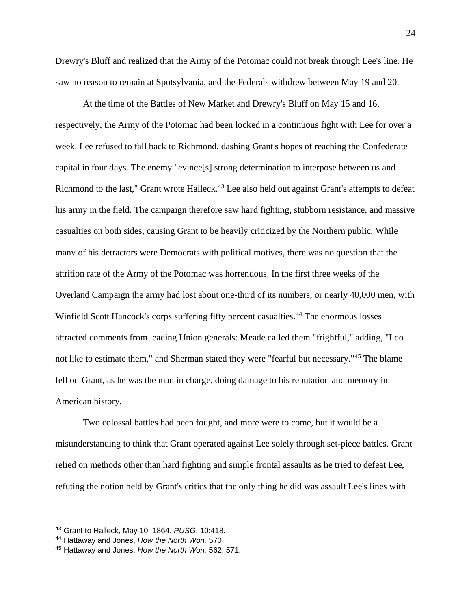Drewry's Bluff and realized that the Army of the Potomac could not break through Lee's line. He saw no reason to remain at Spotsylvania, and the Federals withdrew between May 19 and 20.

At the time of the Battles of New Market and Drewry's Bluff on May 15 and 16, respectively, the Army of the Potomac had been locked in a continuous fight with Lee for over a week. Lee refused to fall back to Richmond, dashing Grant's hopes of reaching the Confederate capital in four days. The enemy "evince[s] strong determination to interpose between us and Richmond to the last," Grant wrote Halleck.<sup>43</sup> Lee also held out against Grant's attempts to defeat his army in the field. The campaign therefore saw hard fighting, stubborn resistance, and massive casualties on both sides, causing Grant to be heavily criticized by the Northern public. While many of his detractors were Democrats with political motives, there was no question that the attrition rate of the Army of the Potomac was horrendous. In the first three weeks of the Overland Campaign the army had lost about one-third of its numbers, or nearly 40,000 men, with Winfield Scott Hancock's corps suffering fifty percent casualties.<sup>44</sup> The enormous losses attracted comments from leading Union generals: Meade called them "frightful," adding, "I do not like to estimate them," and Sherman stated they were "fearful but necessary."<sup>45</sup> The blame fell on Grant, as he was the man in charge, doing damage to his reputation and memory in American history.

Two colossal battles had been fought, and more were to come, but it would be a misunderstanding to think that Grant operated against Lee solely through set-piece battles. Grant relied on methods other than hard fighting and simple frontal assaults as he tried to defeat Lee, refuting the notion held by Grant's critics that the only thing he did was assault Lee's lines with

<sup>43</sup> Grant to Halleck, May 10, 1864, *PUSG*, 10:418.

<sup>44</sup> Hattaway and Jones, *How the North Won,* 570

<sup>45</sup> Hattaway and Jones, *How the North Won,* 562, 571.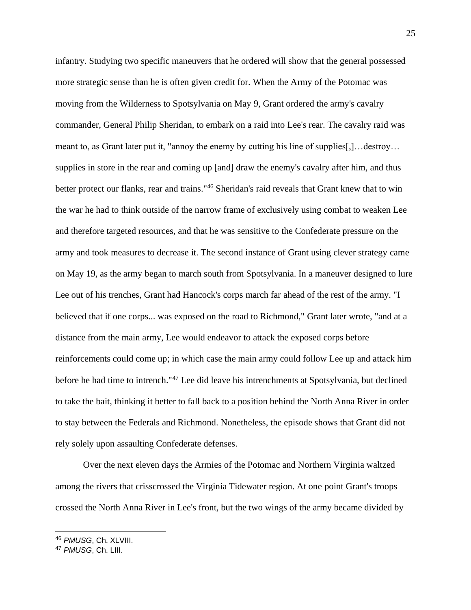infantry. Studying two specific maneuvers that he ordered will show that the general possessed more strategic sense than he is often given credit for. When the Army of the Potomac was moving from the Wilderness to Spotsylvania on May 9, Grant ordered the army's cavalry commander, General Philip Sheridan, to embark on a raid into Lee's rear. The cavalry raid was meant to, as Grant later put it, "annoy the enemy by cutting his line of supplies[,]…destroy… supplies in store in the rear and coming up [and] draw the enemy's cavalry after him, and thus better protect our flanks, rear and trains."<sup>46</sup> Sheridan's raid reveals that Grant knew that to win the war he had to think outside of the narrow frame of exclusively using combat to weaken Lee and therefore targeted resources, and that he was sensitive to the Confederate pressure on the army and took measures to decrease it. The second instance of Grant using clever strategy came on May 19, as the army began to march south from Spotsylvania. In a maneuver designed to lure Lee out of his trenches, Grant had Hancock's corps march far ahead of the rest of the army. "I believed that if one corps... was exposed on the road to Richmond," Grant later wrote, "and at a distance from the main army, Lee would endeavor to attack the exposed corps before reinforcements could come up; in which case the main army could follow Lee up and attack him before he had time to intrench."<sup>47</sup> Lee did leave his intrenchments at Spotsylvania, but declined to take the bait, thinking it better to fall back to a position behind the North Anna River in order to stay between the Federals and Richmond. Nonetheless, the episode shows that Grant did not rely solely upon assaulting Confederate defenses.

Over the next eleven days the Armies of the Potomac and Northern Virginia waltzed among the rivers that crisscrossed the Virginia Tidewater region. At one point Grant's troops crossed the North Anna River in Lee's front, but the two wings of the army became divided by

<sup>46</sup> *PMUSG*, Ch. XLVIII.

<sup>47</sup> *PMUSG*, Ch. LIII.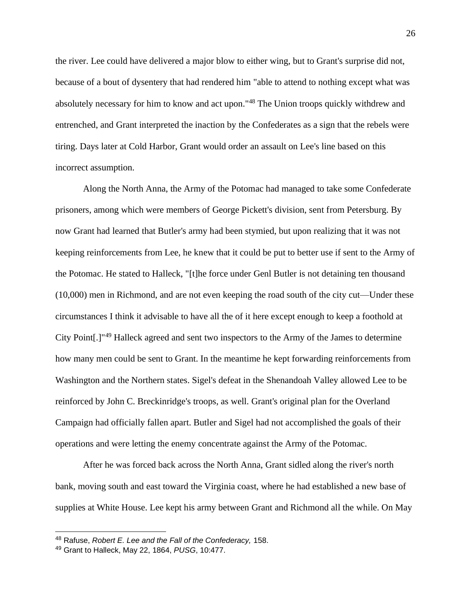the river. Lee could have delivered a major blow to either wing, but to Grant's surprise did not, because of a bout of dysentery that had rendered him "able to attend to nothing except what was absolutely necessary for him to know and act upon."<sup>48</sup> The Union troops quickly withdrew and entrenched, and Grant interpreted the inaction by the Confederates as a sign that the rebels were tiring. Days later at Cold Harbor, Grant would order an assault on Lee's line based on this incorrect assumption.

Along the North Anna, the Army of the Potomac had managed to take some Confederate prisoners, among which were members of George Pickett's division, sent from Petersburg. By now Grant had learned that Butler's army had been stymied, but upon realizing that it was not keeping reinforcements from Lee, he knew that it could be put to better use if sent to the Army of the Potomac. He stated to Halleck, "[t]he force under Genl Butler is not detaining ten thousand (10,000) men in Richmond, and are not even keeping the road south of the city cut—Under these circumstances I think it advisable to have all the of it here except enough to keep a foothold at City Point[.]"<sup>49</sup> Halleck agreed and sent two inspectors to the Army of the James to determine how many men could be sent to Grant. In the meantime he kept forwarding reinforcements from Washington and the Northern states. Sigel's defeat in the Shenandoah Valley allowed Lee to be reinforced by John C. Breckinridge's troops, as well. Grant's original plan for the Overland Campaign had officially fallen apart. Butler and Sigel had not accomplished the goals of their operations and were letting the enemy concentrate against the Army of the Potomac.

After he was forced back across the North Anna, Grant sidled along the river's north bank, moving south and east toward the Virginia coast, where he had established a new base of supplies at White House. Lee kept his army between Grant and Richmond all the while. On May

<sup>48</sup> Rafuse, *Robert E. Lee and the Fall of the Confederacy,* 158.

<sup>49</sup> Grant to Halleck, May 22, 1864, *PUSG*, 10:477.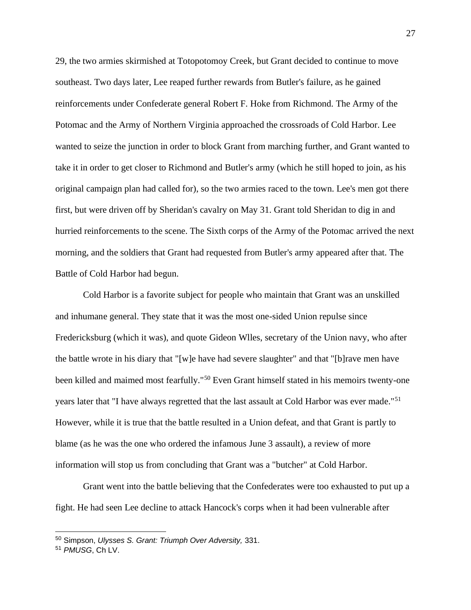29, the two armies skirmished at Totopotomoy Creek, but Grant decided to continue to move southeast. Two days later, Lee reaped further rewards from Butler's failure, as he gained reinforcements under Confederate general Robert F. Hoke from Richmond. The Army of the Potomac and the Army of Northern Virginia approached the crossroads of Cold Harbor. Lee wanted to seize the junction in order to block Grant from marching further, and Grant wanted to take it in order to get closer to Richmond and Butler's army (which he still hoped to join, as his original campaign plan had called for), so the two armies raced to the town. Lee's men got there first, but were driven off by Sheridan's cavalry on May 31. Grant told Sheridan to dig in and hurried reinforcements to the scene. The Sixth corps of the Army of the Potomac arrived the next morning, and the soldiers that Grant had requested from Butler's army appeared after that. The Battle of Cold Harbor had begun.

Cold Harbor is a favorite subject for people who maintain that Grant was an unskilled and inhumane general. They state that it was the most one-sided Union repulse since Fredericksburg (which it was), and quote Gideon Wlles, secretary of the Union navy, who after the battle wrote in his diary that "[w]e have had severe slaughter" and that "[b]rave men have been killed and maimed most fearfully."<sup>50</sup> Even Grant himself stated in his memoirs twenty-one years later that "I have always regretted that the last assault at Cold Harbor was ever made."<sup>51</sup> However, while it is true that the battle resulted in a Union defeat, and that Grant is partly to blame (as he was the one who ordered the infamous June 3 assault), a review of more information will stop us from concluding that Grant was a "butcher" at Cold Harbor.

Grant went into the battle believing that the Confederates were too exhausted to put up a fight. He had seen Lee decline to attack Hancock's corps when it had been vulnerable after

<sup>50</sup> Simpson, *Ulysses S. Grant: Triumph Over Adversity,* 331.

<sup>51</sup> *PMUSG*, Ch LV.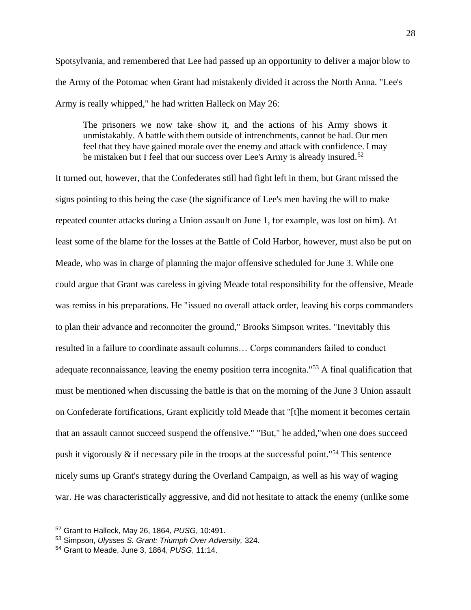Spotsylvania, and remembered that Lee had passed up an opportunity to deliver a major blow to the Army of the Potomac when Grant had mistakenly divided it across the North Anna. "Lee's Army is really whipped," he had written Halleck on May 26:

The prisoners we now take show it, and the actions of his Army shows it unmistakably. A battle with them outside of intrenchments, cannot be had. Our men feel that they have gained morale over the enemy and attack with confidence. I may be mistaken but I feel that our success over Lee's Army is already insured.<sup>52</sup>

It turned out, however, that the Confederates still had fight left in them, but Grant missed the signs pointing to this being the case (the significance of Lee's men having the will to make repeated counter attacks during a Union assault on June 1, for example, was lost on him). At least some of the blame for the losses at the Battle of Cold Harbor, however, must also be put on Meade, who was in charge of planning the major offensive scheduled for June 3. While one could argue that Grant was careless in giving Meade total responsibility for the offensive, Meade was remiss in his preparations. He "issued no overall attack order, leaving his corps commanders to plan their advance and reconnoiter the ground," Brooks Simpson writes. "Inevitably this resulted in a failure to coordinate assault columns… Corps commanders failed to conduct adequate reconnaissance, leaving the enemy position terra incognita."<sup>53</sup> A final qualification that must be mentioned when discussing the battle is that on the morning of the June 3 Union assault on Confederate fortifications, Grant explicitly told Meade that "[t]he moment it becomes certain that an assault cannot succeed suspend the offensive." "But," he added,"when one does succeed push it vigorously  $\&$  if necessary pile in the troops at the successful point."<sup>54</sup> This sentence nicely sums up Grant's strategy during the Overland Campaign, as well as his way of waging war. He was characteristically aggressive, and did not hesitate to attack the enemy (unlike some

<sup>52</sup> Grant to Halleck, May 26, 1864, *PUSG*, 10:491.

<sup>53</sup> Simpson, *Ulysses S. Grant: Triumph Over Adversity,* 324.

<sup>54</sup> Grant to Meade, June 3, 1864, *PUSG*, 11:14.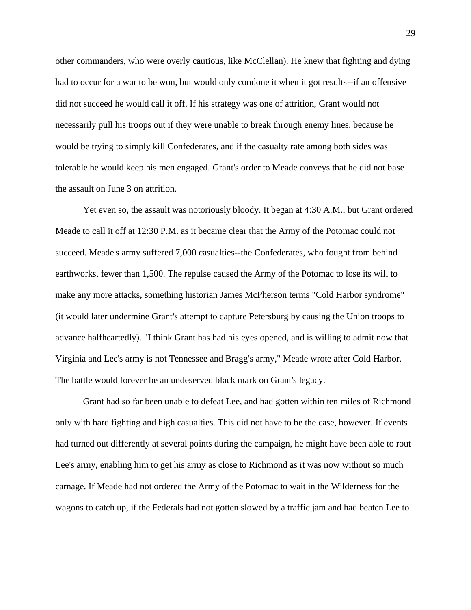other commanders, who were overly cautious, like McClellan). He knew that fighting and dying had to occur for a war to be won, but would only condone it when it got results--if an offensive did not succeed he would call it off. If his strategy was one of attrition, Grant would not necessarily pull his troops out if they were unable to break through enemy lines, because he would be trying to simply kill Confederates, and if the casualty rate among both sides was tolerable he would keep his men engaged. Grant's order to Meade conveys that he did not base the assault on June 3 on attrition.

Yet even so, the assault was notoriously bloody. It began at 4:30 A.M., but Grant ordered Meade to call it off at 12:30 P.M. as it became clear that the Army of the Potomac could not succeed. Meade's army suffered 7,000 casualties--the Confederates, who fought from behind earthworks, fewer than 1,500. The repulse caused the Army of the Potomac to lose its will to make any more attacks, something historian James McPherson terms "Cold Harbor syndrome" (it would later undermine Grant's attempt to capture Petersburg by causing the Union troops to advance halfheartedly). "I think Grant has had his eyes opened, and is willing to admit now that Virginia and Lee's army is not Tennessee and Bragg's army," Meade wrote after Cold Harbor. The battle would forever be an undeserved black mark on Grant's legacy.

Grant had so far been unable to defeat Lee, and had gotten within ten miles of Richmond only with hard fighting and high casualties. This did not have to be the case, however. If events had turned out differently at several points during the campaign, he might have been able to rout Lee's army, enabling him to get his army as close to Richmond as it was now without so much carnage. If Meade had not ordered the Army of the Potomac to wait in the Wilderness for the wagons to catch up, if the Federals had not gotten slowed by a traffic jam and had beaten Lee to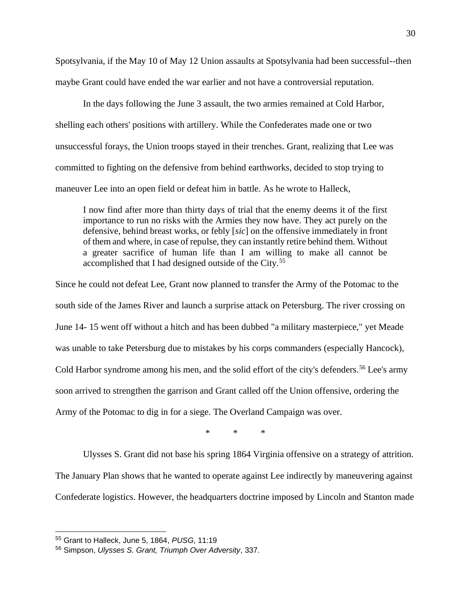Spotsylvania, if the May 10 of May 12 Union assaults at Spotsylvania had been successful--then maybe Grant could have ended the war earlier and not have a controversial reputation.

In the days following the June 3 assault, the two armies remained at Cold Harbor, shelling each others' positions with artillery. While the Confederates made one or two unsuccessful forays, the Union troops stayed in their trenches. Grant, realizing that Lee was committed to fighting on the defensive from behind earthworks, decided to stop trying to maneuver Lee into an open field or defeat him in battle. As he wrote to Halleck,

I now find after more than thirty days of trial that the enemy deems it of the first importance to run no risks with the Armies they now have. They act purely on the defensive, behind breast works, or febly [*sic*] on the offensive immediately in front of them and where, in case of repulse, they can instantly retire behind them. Without a greater sacrifice of human life than I am willing to make all cannot be accomplished that I had designed outside of the City.<sup>55</sup>

Since he could not defeat Lee, Grant now planned to transfer the Army of the Potomac to the south side of the James River and launch a surprise attack on Petersburg. The river crossing on June 14- 15 went off without a hitch and has been dubbed "a military masterpiece," yet Meade was unable to take Petersburg due to mistakes by his corps commanders (especially Hancock), Cold Harbor syndrome among his men, and the solid effort of the city's defenders.<sup>56</sup> Lee's army soon arrived to strengthen the garrison and Grant called off the Union offensive, ordering the Army of the Potomac to dig in for a siege. The Overland Campaign was over.

\* \* \*

Ulysses S. Grant did not base his spring 1864 Virginia offensive on a strategy of attrition. The January Plan shows that he wanted to operate against Lee indirectly by maneuvering against Confederate logistics. However, the headquarters doctrine imposed by Lincoln and Stanton made

<sup>55</sup> Grant to Halleck, June 5, 1864, *PUSG*, 11:19

<sup>56</sup> Simpson, *Ulysses S. Grant, Triumph Over Adversity*, 337.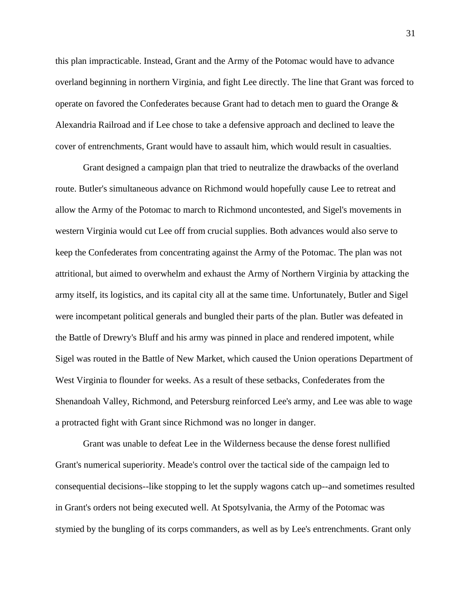this plan impracticable. Instead, Grant and the Army of the Potomac would have to advance overland beginning in northern Virginia, and fight Lee directly. The line that Grant was forced to operate on favored the Confederates because Grant had to detach men to guard the Orange & Alexandria Railroad and if Lee chose to take a defensive approach and declined to leave the cover of entrenchments, Grant would have to assault him, which would result in casualties.

Grant designed a campaign plan that tried to neutralize the drawbacks of the overland route. Butler's simultaneous advance on Richmond would hopefully cause Lee to retreat and allow the Army of the Potomac to march to Richmond uncontested, and Sigel's movements in western Virginia would cut Lee off from crucial supplies. Both advances would also serve to keep the Confederates from concentrating against the Army of the Potomac. The plan was not attritional, but aimed to overwhelm and exhaust the Army of Northern Virginia by attacking the army itself, its logistics, and its capital city all at the same time. Unfortunately, Butler and Sigel were incompetant political generals and bungled their parts of the plan. Butler was defeated in the Battle of Drewry's Bluff and his army was pinned in place and rendered impotent, while Sigel was routed in the Battle of New Market, which caused the Union operations Department of West Virginia to flounder for weeks. As a result of these setbacks, Confederates from the Shenandoah Valley, Richmond, and Petersburg reinforced Lee's army, and Lee was able to wage a protracted fight with Grant since Richmond was no longer in danger.

Grant was unable to defeat Lee in the Wilderness because the dense forest nullified Grant's numerical superiority. Meade's control over the tactical side of the campaign led to consequential decisions--like stopping to let the supply wagons catch up--and sometimes resulted in Grant's orders not being executed well. At Spotsylvania, the Army of the Potomac was stymied by the bungling of its corps commanders, as well as by Lee's entrenchments. Grant only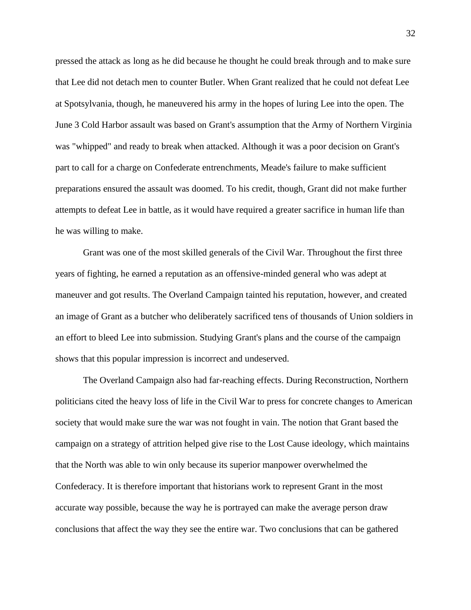pressed the attack as long as he did because he thought he could break through and to make sure that Lee did not detach men to counter Butler. When Grant realized that he could not defeat Lee at Spotsylvania, though, he maneuvered his army in the hopes of luring Lee into the open. The June 3 Cold Harbor assault was based on Grant's assumption that the Army of Northern Virginia was "whipped" and ready to break when attacked. Although it was a poor decision on Grant's part to call for a charge on Confederate entrenchments, Meade's failure to make sufficient preparations ensured the assault was doomed. To his credit, though, Grant did not make further attempts to defeat Lee in battle, as it would have required a greater sacrifice in human life than he was willing to make.

Grant was one of the most skilled generals of the Civil War. Throughout the first three years of fighting, he earned a reputation as an offensive-minded general who was adept at maneuver and got results. The Overland Campaign tainted his reputation, however, and created an image of Grant as a butcher who deliberately sacrificed tens of thousands of Union soldiers in an effort to bleed Lee into submission. Studying Grant's plans and the course of the campaign shows that this popular impression is incorrect and undeserved.

The Overland Campaign also had far-reaching effects. During Reconstruction, Northern politicians cited the heavy loss of life in the Civil War to press for concrete changes to American society that would make sure the war was not fought in vain. The notion that Grant based the campaign on a strategy of attrition helped give rise to the Lost Cause ideology, which maintains that the North was able to win only because its superior manpower overwhelmed the Confederacy. It is therefore important that historians work to represent Grant in the most accurate way possible, because the way he is portrayed can make the average person draw conclusions that affect the way they see the entire war. Two conclusions that can be gathered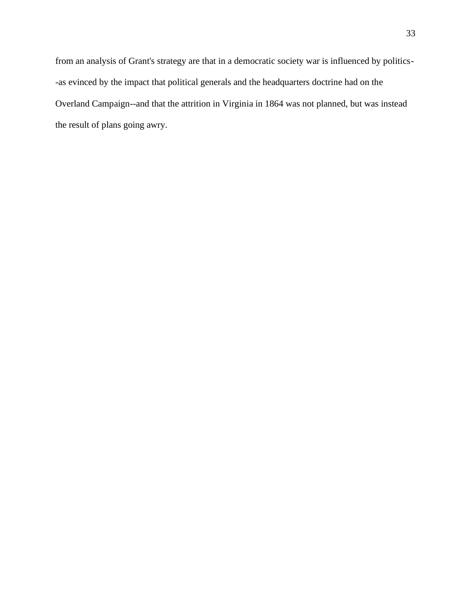from an analysis of Grant's strategy are that in a democratic society war is influenced by politics- -as evinced by the impact that political generals and the headquarters doctrine had on the Overland Campaign--and that the attrition in Virginia in 1864 was not planned, but was instead the result of plans going awry.